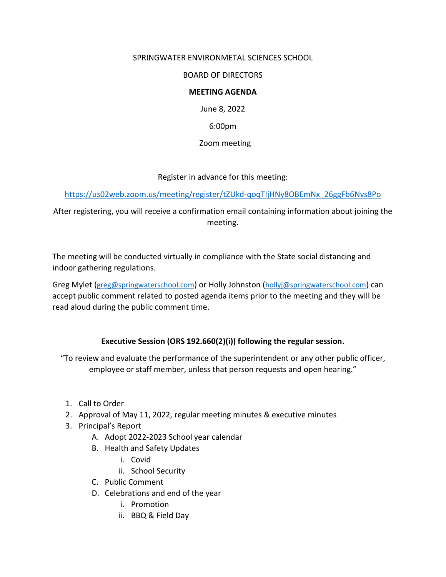## SPRINGWATER ENVIRONMETAL SCIENCES SCHOOL

BOARD OF DIRECTORS

## **MEETING AGENDA**

June 8, 2022

6:00pm

Zoom meeting

Register in advance for this meeting:

[https://us02web.zoom.us/meeting/register/tZUkd-qoqTIjHNy8OBEmNx\\_26ggFb6Nvs8Po](https://us02web.zoom.us/meeting/register/tZUkd-qoqTIjHNy8OBEmNx_26ggFb6Nvs8Po)

After registering, you will receive a confirmation email containing information about joining the meeting.

The meeting will be conducted virtually in compliance with the State social distancing and indoor gathering regulations.

Greg Mylet [\(greg@springwaterschool.com\)](mailto:greg@springwaterschool.com) or Holly Johnston [\(hollyj@springwaterschool.com\)](mailto:hollyj@springwaterschool.com) can accept public comment related to posted agenda items prior to the meeting and they will be read aloud during the public comment time.

## **Executive Session (ORS 192.660(2)(i)) following the regular session.**

"To review and evaluate the performance of the superintendent or any other public officer, employee or staff member, unless that person requests and open hearing."

- 1. Call to Order
- 2. Approval of May 11, 2022, regular meeting minutes & executive minutes
- 3. Principal's Report
	- A. Adopt 2022-2023 School year calendar
	- B. Health and Safety Updates
		- i. Covid
		- ii. School Security
	- C. Public Comment
	- D. Celebrations and end of the year
		- i. Promotion
		- ii. BBQ & Field Day